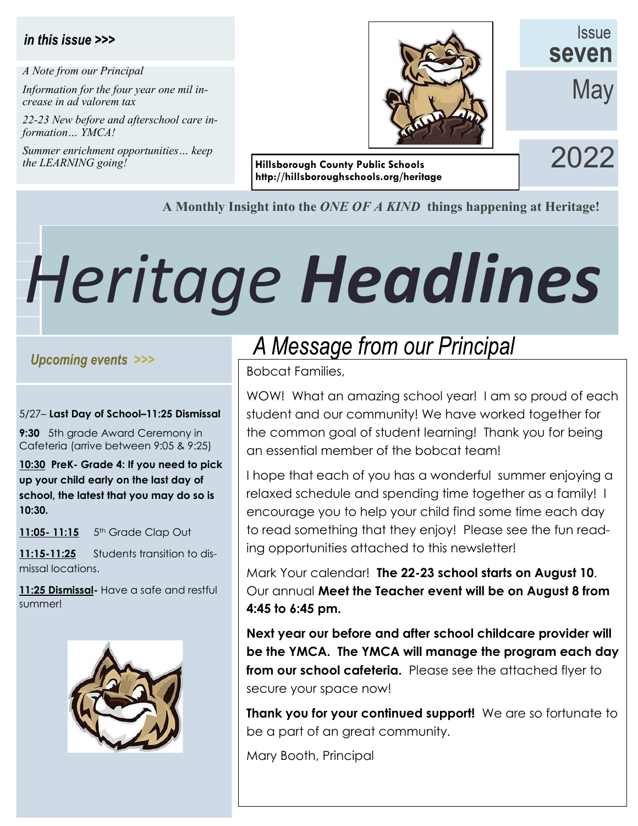#### in this issue >>>

*A Note from our Principal*

*Information for the four year one mil increase in ad valorem tax*

*22-23 New before and afterschool care information… YMCA!*

*Summer enrichment opportunities… keep the LEARNING going!*



*ISSUE* seven

**May** 

**Hillsborough County Public Schools** 2022 **http://hillsboroughschools.org/heritage** 

#### **A Monthly Insight into the** *ONE OF A KIND* **things happening at Heritage!**

# *Heritage Headlines*

#### Upcoming events >>>

#### 5/27– **Last Day of School–11:25 Dismissal**

**9:30** 5th grade Award Ceremony in Cafeteria (arrive between 9:05 & 9:25)

**10:30 PreK- Grade 4: If you need to pick up your child early on the last day of school, the latest that you may do so is 10:30.** 

**11:05- 11:15** 5th Grade Clap Out

**11:15-11:25** Students transition to dismissal locations.

**11:25 Dismissal-** Have a safe and restful summer!



## A Message from our Principal

Bobcat Families,

WOW! What an amazing school year! I am so proud of each student and our community! We have worked together for the common goal of student learning! Thank you for being an essential member of the bobcat team!

I hope that each of you has a wonderful summer enjoying a relaxed schedule and spending time together as a family! I encourage you to help your child find some time each day to read something that they enjoy! Please see the fun reading opportunities attached to this newsletter!

Mark Your calendar! **The 22-23 school starts on August 10**. Our annual **Meet the Teacher event will be on August 8 from 4:45 to 6:45 pm.**

**Next year our before and after school childcare provider will be the YMCA. The YMCA will manage the program each day from our school cafeteria.** Please see the attached flyer to secure your space now!

**Thank you for your continued support!** We are so fortunate to be a part of an great community.

Mary Booth, Principal